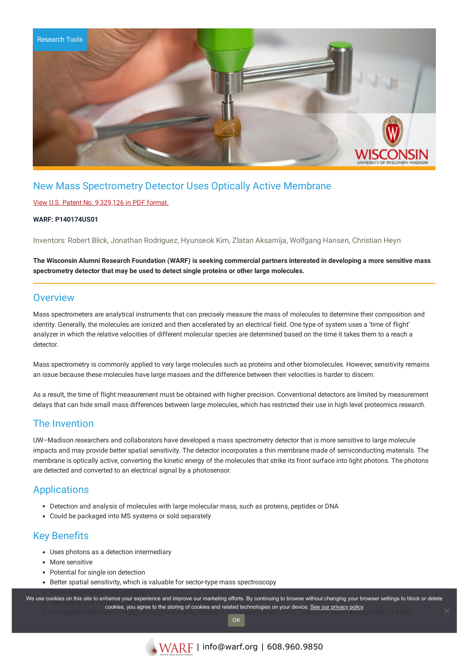

## New Mass Spectrometry Detector Uses Optically Active Membrane

### View U.S. Patent No. [9,329,126](https://www.warf.org/wp-content/uploads/technologies/ipstatus/P140174US01.PDF) in PDF format.

#### **WARF: P140174US01**

Inventors: Robert Blick, Jonathan Rodriguez, Hyunseok Kim, Zlatan Aksamija, Wolfgang Hansen, Christian Heyn

#### The Wisconsin Alumni Research Foundation (WARF) is seeking commercial partners interested in developing a more sensitive mass **spectrometry detector that may be used to detect single proteins or other large molecules.**

### **Overview**

Mass spectrometers are analytical instruments that can precisely measure the mass of molecules to determine their composition and identity. Generally, the molecules are ionized and then accelerated by an electrical field. One type of system uses a 'time of flight' analyzer in which the relative velocities of different molecular species are determined based on the time it takes them to a reach a detector.

Mass spectrometry is commonly applied to very large molecules such as proteins and other biomolecules. However, sensitivity remains an issue because these molecules have large masses and the difference between their velocities is harder to discern.

As a result, the time of flight measurement must be obtained with higher precision. Conventional detectors are limited by measurement delays that can hide small mass differences between large molecules, which has restricted their use in high level proteomics research.

## The Invention

UW–Madison researchers and collaborators have developed a mass spectrometry detector that is more sensitive to large molecule impacts and may provide better spatial sensitivity. The detector incorporates a thin membrane made of semiconducting materials. The membrane is optically active, converting the kinetic energy of the molecules that strike its front surface into light photons. The photons are detected and converted to an electrical signal by a photosensor.

## **Applications**

- Detection and analysis of molecules with large molecular mass, such as proteins, peptides or DNA
- Could be packaged into MS systems or sold separately

## Key Benefits

- Uses photons as a detection intermediary
- More sensitive
- Potential for single ion detection
- Better spatial sensitivity, which is valuable for sector-type mass spectroscopy

We use cookies on this site to enhance your experience and improve our marketing efforts. By continuing to browse without changing your browser settings to block or delete cookies, you agree to the storing of cookies and related technologies on your device. [See our privacy policy](https://www.warf.org/privacy-policy/)